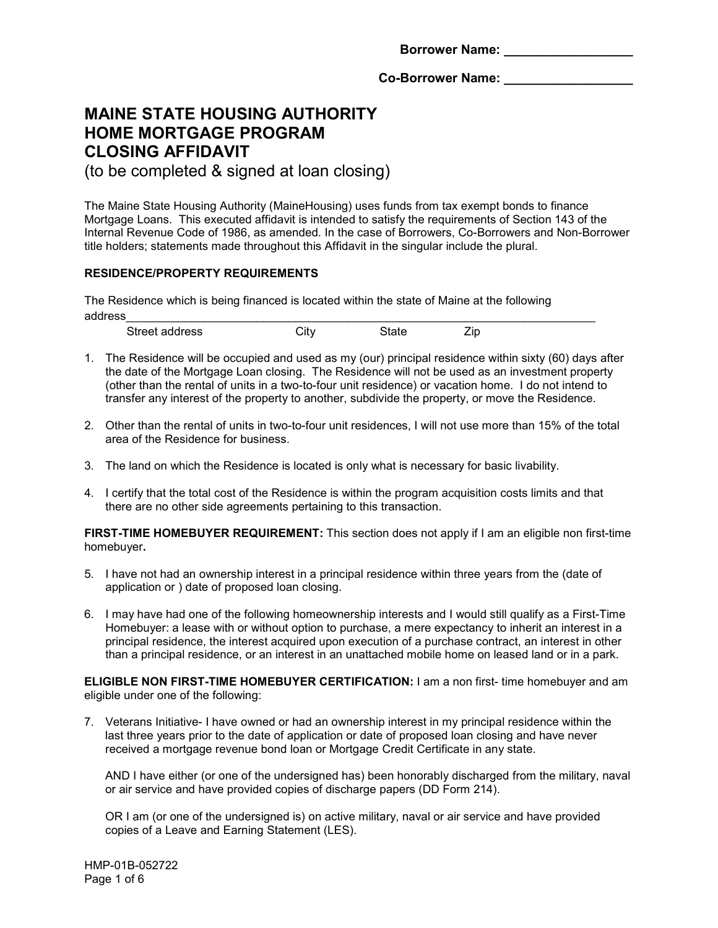**Borrower Name: \_\_\_\_\_\_\_\_\_\_\_\_\_\_\_\_\_\_**

Co-Borrower Name:

# **MAINE STATE HOUSING AUTHORITY HOME MORTGAGE PROGRAM CLOSING AFFIDAVIT**

(to be completed & signed at loan closing)

The Maine State Housing Authority (MaineHousing) uses funds from tax exempt bonds to finance Mortgage Loans. This executed affidavit is intended to satisfy the requirements of Section 143 of the Internal Revenue Code of 1986, as amended. In the case of Borrowers, Co-Borrowers and Non-Borrower title holders; statements made throughout this Affidavit in the singular include the plural.

# **RESIDENCE/PROPERTY REQUIREMENTS**

The Residence which is being financed is located within the state of Maine at the following address\_\_\_\_\_\_\_\_\_\_\_\_\_\_\_\_\_\_\_\_\_\_\_\_\_\_\_\_\_\_\_\_\_\_\_\_\_\_\_\_\_\_\_\_\_\_\_\_\_\_\_\_\_\_\_\_\_\_\_\_\_\_\_\_\_\_\_\_\_\_\_\_

| Street<br>aroon.<br>uultss<br>$\sim$ | .<br>- - | ∠ın |  |
|--------------------------------------|----------|-----|--|

- 1. The Residence will be occupied and used as my (our) principal residence within sixty (60) days after the date of the Mortgage Loan closing. The Residence will not be used as an investment property (other than the rental of units in a two-to-four unit residence) or vacation home. I do not intend to transfer any interest of the property to another, subdivide the property, or move the Residence.
- 2. Other than the rental of units in two-to-four unit residences, I will not use more than 15% of the total area of the Residence for business.
- 3. The land on which the Residence is located is only what is necessary for basic livability.
- 4. I certify that the total cost of the Residence is within the program acquisition costs limits and that there are no other side agreements pertaining to this transaction.

**FIRST-TIME HOMEBUYER REQUIREMENT:** This section does not apply if I am an eligible non first-time homebuyer**.**

- 5. I have not had an ownership interest in a principal residence within three years from the (date of application or ) date of proposed loan closing.
- 6. I may have had one of the following homeownership interests and I would still qualify as a First-Time Homebuyer: a lease with or without option to purchase, a mere expectancy to inherit an interest in a principal residence, the interest acquired upon execution of a purchase contract, an interest in other than a principal residence, or an interest in an unattached mobile home on leased land or in a park.

**ELIGIBLE NON FIRST-TIME HOMEBUYER CERTIFICATION:** I am a non first- time homebuyer and am eligible under one of the following:

7. Veterans Initiative- I have owned or had an ownership interest in my principal residence within the last three years prior to the date of application or date of proposed loan closing and have never received a mortgage revenue bond loan or Mortgage Credit Certificate in any state.

AND I have either (or one of the undersigned has) been honorably discharged from the military, naval or air service and have provided copies of discharge papers (DD Form 214).

OR I am (or one of the undersigned is) on active military, naval or air service and have provided copies of a Leave and Earning Statement (LES).

HMP-01B-052722 Page 1 of 6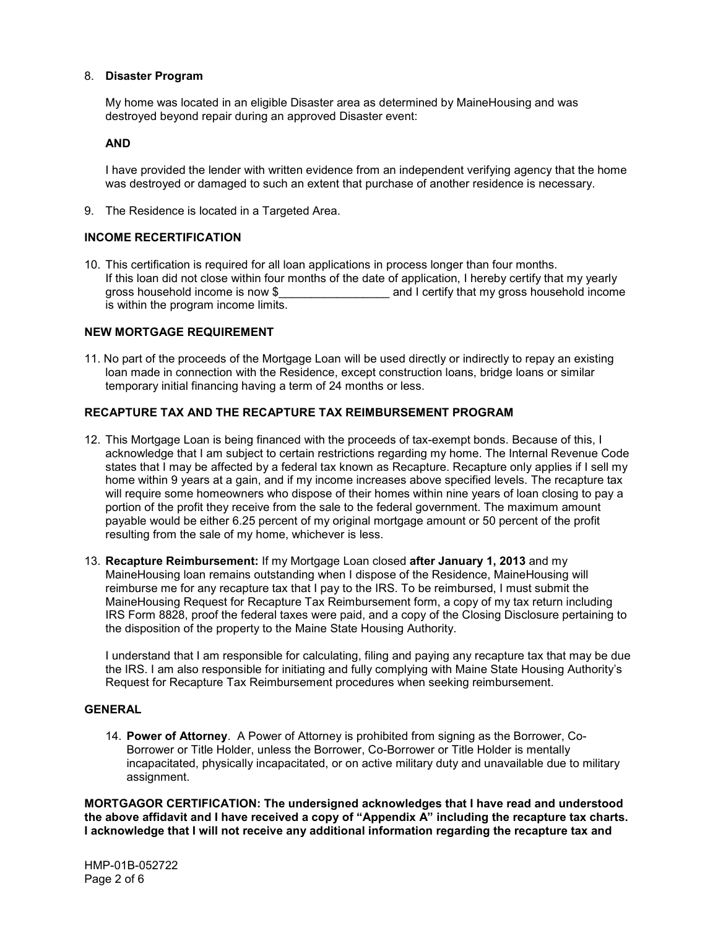## 8. **Disaster Program**

My home was located in an eligible Disaster area as determined by MaineHousing and was destroyed beyond repair during an approved Disaster event:

#### **AND**

I have provided the lender with written evidence from an independent verifying agency that the home was destroyed or damaged to such an extent that purchase of another residence is necessary.

9. The Residence is located in a Targeted Area.

## **INCOME RECERTIFICATION**

10. This certification is required for all loan applications in process longer than four months. If this loan did not close within four months of the date of application, I hereby certify that my yearly gross household income is now \$  $\qquad \qquad \qquad$  and I certify that my gross household income is within the program income limits.

#### **NEW MORTGAGE REQUIREMENT**

11. No part of the proceeds of the Mortgage Loan will be used directly or indirectly to repay an existing loan made in connection with the Residence, except construction loans, bridge loans or similar temporary initial financing having a term of 24 months or less.

## **RECAPTURE TAX AND THE RECAPTURE TAX REIMBURSEMENT PROGRAM**

- 12. This Mortgage Loan is being financed with the proceeds of tax-exempt bonds. Because of this, I acknowledge that I am subject to certain restrictions regarding my home. The Internal Revenue Code states that I may be affected by a federal tax known as Recapture. Recapture only applies if I sell my home within 9 years at a gain, and if my income increases above specified levels. The recapture tax will require some homeowners who dispose of their homes within nine years of loan closing to pay a portion of the profit they receive from the sale to the federal government. The maximum amount payable would be either 6.25 percent of my original mortgage amount or 50 percent of the profit resulting from the sale of my home, whichever is less.
- 13. **Recapture Reimbursement:** If my Mortgage Loan closed **after January 1, 2013** and my MaineHousing loan remains outstanding when I dispose of the Residence, MaineHousing will reimburse me for any recapture tax that I pay to the IRS. To be reimbursed, I must submit the MaineHousing Request for Recapture Tax Reimbursement form, a copy of my tax return including IRS Form 8828, proof the federal taxes were paid, and a copy of the Closing Disclosure pertaining to the disposition of the property to the Maine State Housing Authority.

I understand that I am responsible for calculating, filing and paying any recapture tax that may be due the IRS. I am also responsible for initiating and fully complying with Maine State Housing Authority's Request for Recapture Tax Reimbursement procedures when seeking reimbursement.

#### **GENERAL**

14. **Power of Attorney**. A Power of Attorney is prohibited from signing as the Borrower, Co-Borrower or Title Holder, unless the Borrower, Co-Borrower or Title Holder is mentally incapacitated, physically incapacitated, or on active military duty and unavailable due to military assignment.

**MORTGAGOR CERTIFICATION: The undersigned acknowledges that I have read and understood the above affidavit and I have received a copy of "Appendix A" including the recapture tax charts. I acknowledge that I will not receive any additional information regarding the recapture tax and**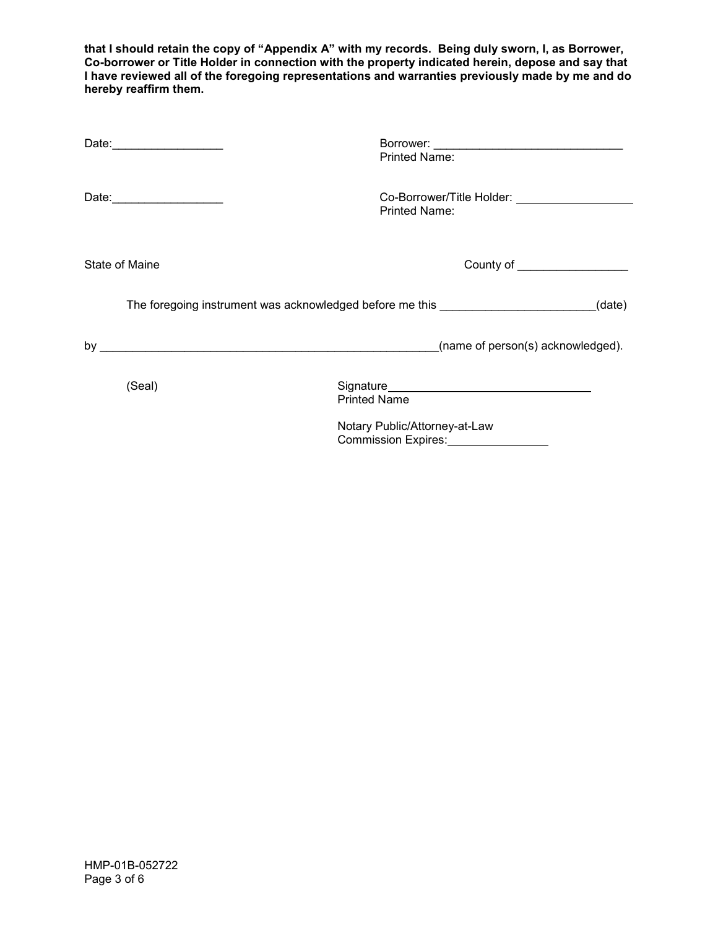**that I should retain the copy of "Appendix A" with my records. Being duly sworn, I, as Borrower, Co-borrower or Title Holder in connection with the property indicated herein, depose and say that I have reviewed all of the foregoing representations and warranties previously made by me and do hereby reaffirm them.**

| Date: 2004       | Printed Name:                                                                                                                                                                                                                        |        |
|------------------|--------------------------------------------------------------------------------------------------------------------------------------------------------------------------------------------------------------------------------------|--------|
|                  | Co-Borrower/Title Holder: __________________<br>Printed Name:                                                                                                                                                                        |        |
| State of Maine   | County of <b>County of County of County of County of County of County of County of County County of County Of County Of County Of County Of County Of County Of County Of County Of County Of County Of County Of County Of Coun</b> |        |
|                  | The foregoing instrument was acknowledged before me this _______________________                                                                                                                                                     | (date) |
| by $\frac{1}{2}$ | (name of $person(s)$ acknowledged).                                                                                                                                                                                                  |        |
| (Seal)           | <b>Printed Name</b><br>Notary Public/Attorney-at-Law<br>Commission Expires: <u>commission</u>                                                                                                                                        |        |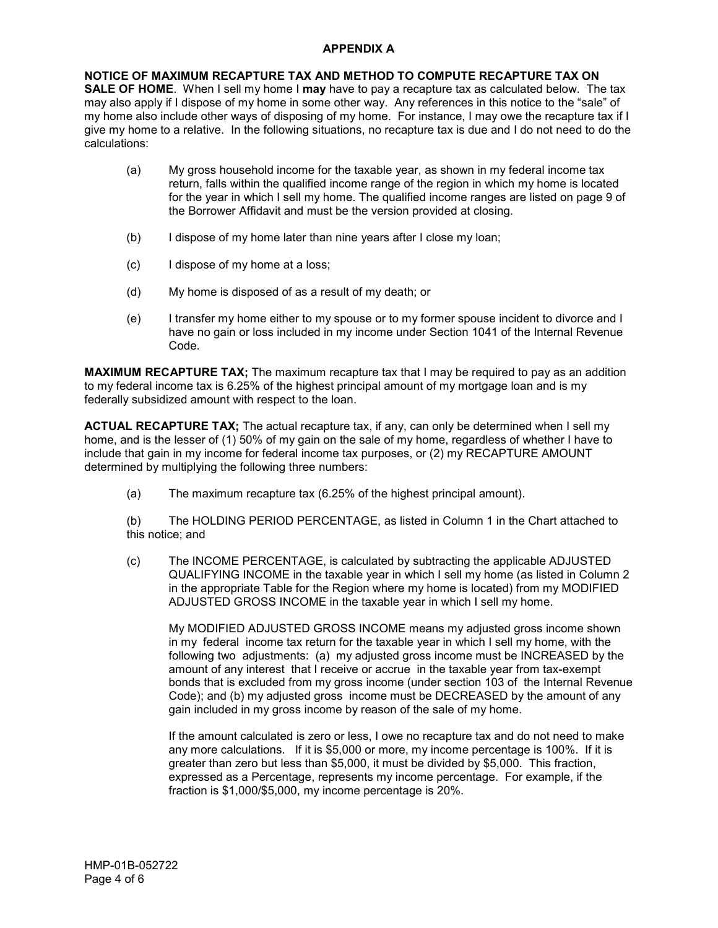# **APPENDIX A**

**NOTICE OF MAXIMUM RECAPTURE TAX AND METHOD TO COMPUTE RECAPTURE TAX ON SALE OF HOME**. When I sell my home I **may** have to pay a recapture tax as calculated below. The tax may also apply if I dispose of my home in some other way. Any references in this notice to the "sale" of my home also include other ways of disposing of my home. For instance, I may owe the recapture tax if I give my home to a relative. In the following situations, no recapture tax is due and I do not need to do the calculations:

- (a) My gross household income for the taxable year, as shown in my federal income tax return, falls within the qualified income range of the region in which my home is located for the year in which I sell my home. The qualified income ranges are listed on page 9 of the Borrower Affidavit and must be the version provided at closing.
- (b) I dispose of my home later than nine years after I close my loan;
- (c) I dispose of my home at a loss;
- (d) My home is disposed of as a result of my death; or
- (e) I transfer my home either to my spouse or to my former spouse incident to divorce and I have no gain or loss included in my income under Section 1041 of the Internal Revenue Code.

**MAXIMUM RECAPTURE TAX;** The maximum recapture tax that I may be required to pay as an addition to my federal income tax is 6.25% of the highest principal amount of my mortgage loan and is my federally subsidized amount with respect to the loan.

**ACTUAL RECAPTURE TAX;** The actual recapture tax, if any, can only be determined when I sell my home, and is the lesser of (1) 50% of my gain on the sale of my home, regardless of whether I have to include that gain in my income for federal income tax purposes, or (2) my RECAPTURE AMOUNT determined by multiplying the following three numbers:

(a) The maximum recapture tax (6.25% of the highest principal amount).

(b) The HOLDING PERIOD PERCENTAGE, as listed in Column 1 in the Chart attached to this notice; and

(c) The INCOME PERCENTAGE, is calculated by subtracting the applicable ADJUSTED QUALIFYING INCOME in the taxable year in which I sell my home (as listed in Column 2 in the appropriate Table for the Region where my home is located) from my MODIFIED ADJUSTED GROSS INCOME in the taxable year in which I sell my home.

My MODIFIED ADJUSTED GROSS INCOME means my adjusted gross income shown in my federal income tax return for the taxable year in which I sell my home, with the following two adjustments: (a) my adjusted gross income must be INCREASED by the amount of any interest that I receive or accrue in the taxable year from tax-exempt bonds that is excluded from my gross income (under section 103 of the Internal Revenue Code); and (b) my adjusted gross income must be DECREASED by the amount of any gain included in my gross income by reason of the sale of my home.

If the amount calculated is zero or less, I owe no recapture tax and do not need to make any more calculations. If it is \$5,000 or more, my income percentage is 100%. If it is greater than zero but less than \$5,000, it must be divided by \$5,000. This fraction, expressed as a Percentage, represents my income percentage. For example, if the fraction is \$1,000/\$5,000, my income percentage is 20%.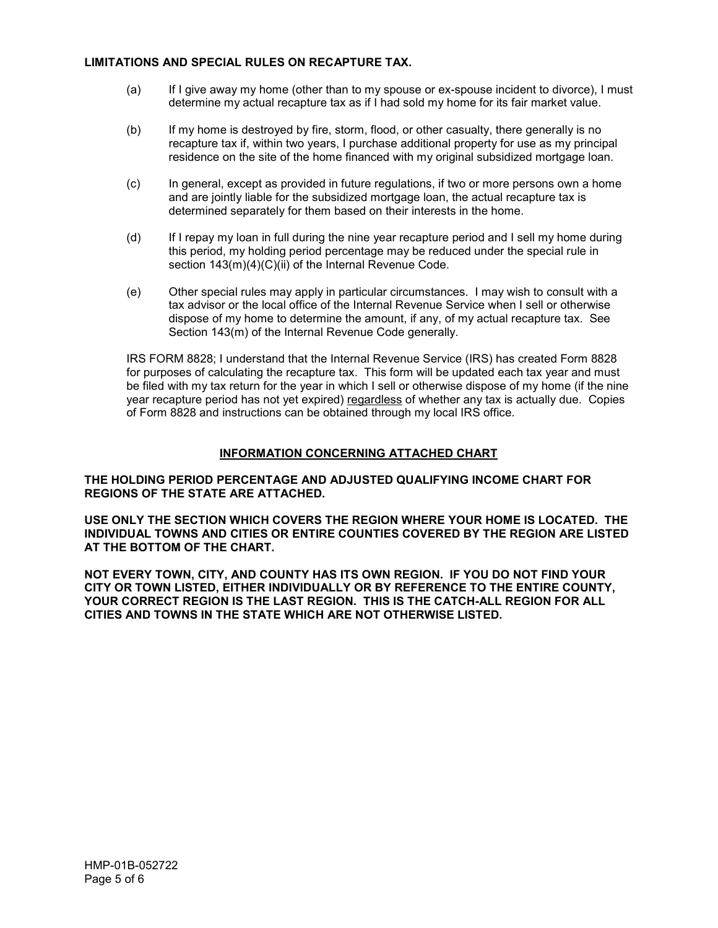## **LIMITATIONS AND SPECIAL RULES ON RECAPTURE TAX.**

- (a) If I give away my home (other than to my spouse or ex-spouse incident to divorce), I must determine my actual recapture tax as if I had sold my home for its fair market value.
- (b) If my home is destroyed by fire, storm, flood, or other casualty, there generally is no recapture tax if, within two years, I purchase additional property for use as my principal residence on the site of the home financed with my original subsidized mortgage loan.
- (c) In general, except as provided in future regulations, if two or more persons own a home and are jointly liable for the subsidized mortgage loan, the actual recapture tax is determined separately for them based on their interests in the home.
- (d) If I repay my loan in full during the nine year recapture period and I sell my home during this period, my holding period percentage may be reduced under the special rule in section  $143(m)(4)(C)(ii)$  of the Internal Revenue Code.
- (e) Other special rules may apply in particular circumstances. I may wish to consult with a tax advisor or the local office of the Internal Revenue Service when I sell or otherwise dispose of my home to determine the amount, if any, of my actual recapture tax. See Section 143(m) of the Internal Revenue Code generally.

IRS FORM 8828; I understand that the Internal Revenue Service (IRS) has created Form 8828 for purposes of calculating the recapture tax. This form will be updated each tax year and must be filed with my tax return for the year in which I sell or otherwise dispose of my home (if the nine year recapture period has not yet expired) regardless of whether any tax is actually due. Copies of Form 8828 and instructions can be obtained through my local IRS office.

# **INFORMATION CONCERNING ATTACHED CHART**

**THE HOLDING PERIOD PERCENTAGE AND ADJUSTED QUALIFYING INCOME CHART FOR REGIONS OF THE STATE ARE ATTACHED.**

**USE ONLY THE SECTION WHICH COVERS THE REGION WHERE YOUR HOME IS LOCATED. THE INDIVIDUAL TOWNS AND CITIES OR ENTIRE COUNTIES COVERED BY THE REGION ARE LISTED AT THE BOTTOM OF THE CHART.**

**NOT EVERY TOWN, CITY, AND COUNTY HAS ITS OWN REGION. IF YOU DO NOT FIND YOUR CITY OR TOWN LISTED, EITHER INDIVIDUALLY OR BY REFERENCE TO THE ENTIRE COUNTY, YOUR CORRECT REGION IS THE LAST REGION. THIS IS THE CATCH-ALL REGION FOR ALL CITIES AND TOWNS IN THE STATE WHICH ARE NOT OTHERWISE LISTED.**